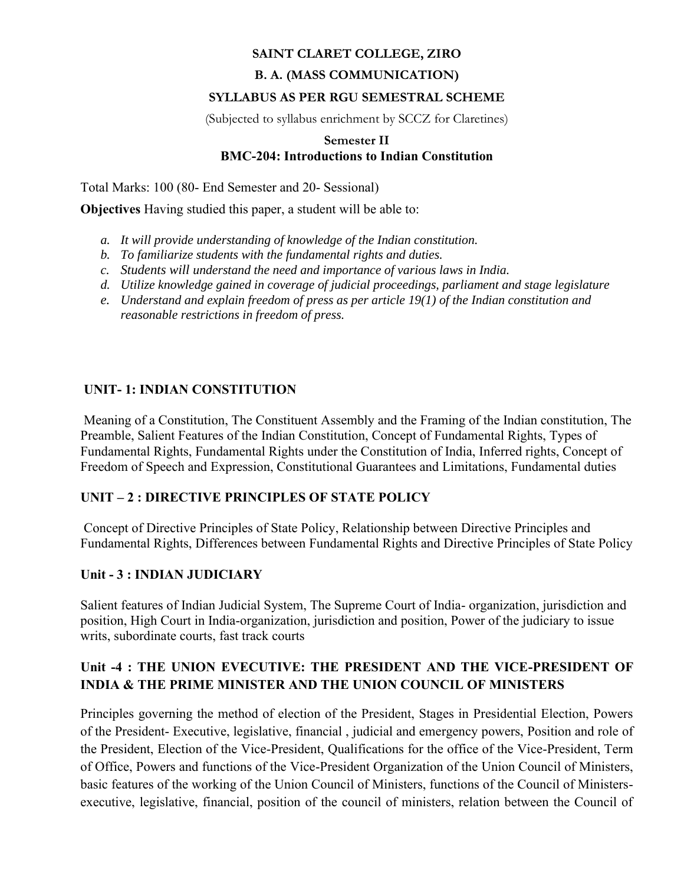### **SAINT CLARET COLLEGE, ZIRO**

### **B. A. (MASS COMMUNICATION)**

#### **SYLLABUS AS PER RGU SEMESTRAL SCHEME**

(Subjected to syllabus enrichment by SCCZ for Claretines)

#### **Semester II BMC-204: Introductions to Indian Constitution**

Total Marks: 100 (80- End Semester and 20- Sessional)

**Objectives** Having studied this paper, a student will be able to:

- *a. It will provide understanding of knowledge of the Indian constitution.*
- *b. To familiarize students with the fundamental rights and duties.*
- *c. Students will understand the need and importance of various laws in India.*
- *d. Utilize knowledge gained in coverage of judicial proceedings, parliament and stage legislature*
- *e. Understand and explain freedom of press as per article 19(1) of the Indian constitution and reasonable restrictions in freedom of press.*

# **UNIT- 1: INDIAN CONSTITUTION**

Meaning of a Constitution, The Constituent Assembly and the Framing of the Indian constitution, The Preamble, Salient Features of the Indian Constitution, Concept of Fundamental Rights, Types of Fundamental Rights, Fundamental Rights under the Constitution of India, Inferred rights, Concept of Freedom of Speech and Expression, Constitutional Guarantees and Limitations, Fundamental duties

### **UNIT – 2 : DIRECTIVE PRINCIPLES OF STATE POLICY**

Concept of Directive Principles of State Policy, Relationship between Directive Principles and Fundamental Rights, Differences between Fundamental Rights and Directive Principles of State Policy

### **Unit - 3 : INDIAN JUDICIARY**

Salient features of Indian Judicial System, The Supreme Court of India- organization, jurisdiction and position, High Court in India-organization, jurisdiction and position, Power of the judiciary to issue writs, subordinate courts, fast track courts

# **Unit -4 : THE UNION EVECUTIVE: THE PRESIDENT AND THE VICE-PRESIDENT OF INDIA & THE PRIME MINISTER AND THE UNION COUNCIL OF MINISTERS**

Principles governing the method of election of the President, Stages in Presidential Election, Powers of the President- Executive, legislative, financial , judicial and emergency powers, Position and role of the President, Election of the Vice-President, Qualifications for the office of the Vice-President, Term of Office, Powers and functions of the Vice-President Organization of the Union Council of Ministers, basic features of the working of the Union Council of Ministers, functions of the Council of Ministersexecutive, legislative, financial, position of the council of ministers, relation between the Council of